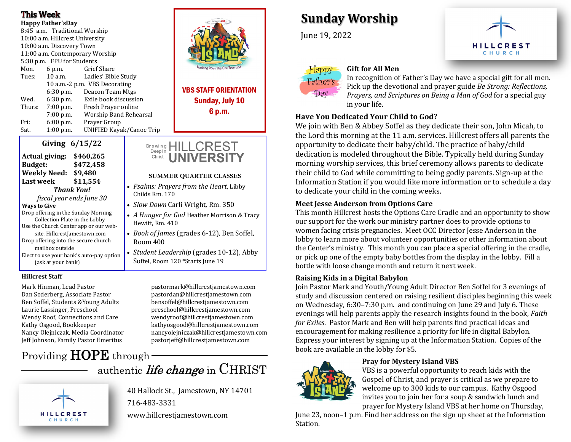### **This Week**

**Happy Father'sDay** 8:45 a.m. Traditional Worship 10:00 a.m. Hillcrest University 10:00 a.m. Discovery Town 11:00 a.m. Contemporary Worship 5:30 p.m. FPU for Students Mon. 6 p.m. Grief Share Tues: 10 a.m. Ladies' Bible Study 10 a.m.-2 p.m. VBS Decorating 6:30 p.m. Deacon Team Mtgs Wed. 6:30 p.m. Exile book discussion Thurs: 7:00 p.m. Fresh Prayer online 7:00 p.m. Worship Band Rehearsal Fri: 6:00 p.m. Prayer Group Sat. 1:00 p.m. UNIFIED Kayak/Canoe Trip

| UIVIIIg 0/13/44                          |  |
|------------------------------------------|--|
| \$460,265<br>Actual giving:              |  |
| \$472,458<br><b>Budget:</b>              |  |
| <b>Weekly Need:</b><br>\$9.480           |  |
| \$11.554<br>Last week                    |  |
| <b>Thank You!</b>                        |  |
| fiscal year ends June 30                 |  |
| <b>Wavs to Give</b>                      |  |
| Drop offering in the Sunday Morning      |  |
| Collection Plate in the Lobby            |  |
| Use the Church Center app or our web-    |  |
| site, HillcrestJamestown.com             |  |
| Drop offering into the secure church     |  |
| mailbox outside                          |  |
| Elect to use your bank's auto-pay option |  |
| (ask at your bank)                       |  |

**Giving 6/15/22**

#### **Hillcrest Staff**

Dan Soderberg, Associate Pastor pastordan@hillcrestjamestown.com Ben Soffel, Students &Young Adults bensoffel@hillcrestjamestown.com Laurie Lassinger, Preschool preschool@hillcrestjamestown.com Wendy Roof, Connections and Care wendyroof@hillcrestjamestown.com Jeff Johnson, Family Pastor Emeritus pastorjeff@hillcrestjamestown.com

# Providing HOPE through

Mark Hinman, Lead Pastor pastormark@hillcrestjamestown.com Kathy Osgood, Bookkeeper kathyosgood@hillcrestjamestown.com Nancy Olejniczak, Media Coordinator nancyolejniczak@hillcrestjamestown.com

# authentic *life change* in CHRIST



40 Hallock St., Jamestown, NY 14701 716-483-3331

www.hillcrestjamestown.com



VBS STAFF ORIENTATION Sunday, July 10 6 p.m.

#### Growing HILLCREST Deepln **UNIVERSI** Christ

#### **SUMMER QUARTER CLASSES**

- *Psalms: Prayers from the Heart*, Libby Childs Rm. 170
- *Slow Down* Carli Wright, Rm. 350
- *A Hunger for God* Heather Morrison & Tracy Hewitt, Rm. 410
- *Book of James* (grades 6-12), Ben Soffel, Room 400
- *Student Leadership* (grades 10-12), Abby Soffel, Room 120 \*Starts June 19

**Sunday Worship**

June 19, 2022



### **Gift for All Men**

In recognition of Father's Day we have a special gift for all men. Pick up the devotional and prayer guide *Be Strong: Reflections, Prayers, and Scriptures on Being a Man of God* for a special guy in your life.

#### **Have You Dedicated Your Child to God?**

We join with Ben & Abbey Soffel as they dedicate their son, John Micah, to the Lord this morning at the 11 a.m. services. Hillcrest offers all parents the opportunity to dedicate their baby/child. The practice of baby/child dedication is modeled throughout the Bible. Typically held during Sunday morning worship services, this brief ceremony allows parents to dedicate their child to God while committing to being godly parents. Sign-up at the Information Station if you would like more information or to schedule a day to dedicate your child in the coming weeks.

#### **Meet Jesse Anderson from Options Care**

This month Hillcrest hosts the Options Care Cradle and an opportunity to show our support for the work our ministry partner does to provide options to women facing crisis pregnancies. Meet OCC Director Jesse Anderson in the lobby to learn more about volunteer opportunities or other information about the Center's ministry. This month you can place a special offering in the cradle, or pick up one of the empty baby bottles from the display in the lobby. Fill a bottle with loose change month and return it next week.

#### **Raising Kids in a Digital Babylon**

Join Pastor Mark and Youth/Young Adult Director Ben Soffel for 3 evenings of study and discussion centered on raising resilient disciples beginning this week on Wednesday, 6:30–7:30 p.m. and continuing on June 29 and July 6. These evenings will help parents apply the research insights found in the book, *Faith for Exiles*. Pastor Mark and Ben will help parents find practical ideas and encouragement for making resilience a priority for life in digital Babylon. Express your interest by signing up at the Information Station. Copies of the book are available in the lobby for \$5.



#### **Pray for Mystery Island VBS**

VBS is a powerful opportunity to reach kids with the Gospel of Christ, and prayer is critical as we prepare to welcome up to 300 kids to our campus. Kathy Osgood invites you to join her for a soup & sandwich lunch and prayer for Mystery Island VBS at her home on Thursday,

June 23, noon–1 p.m. Find her address on the sign up sheet at the Information Station.